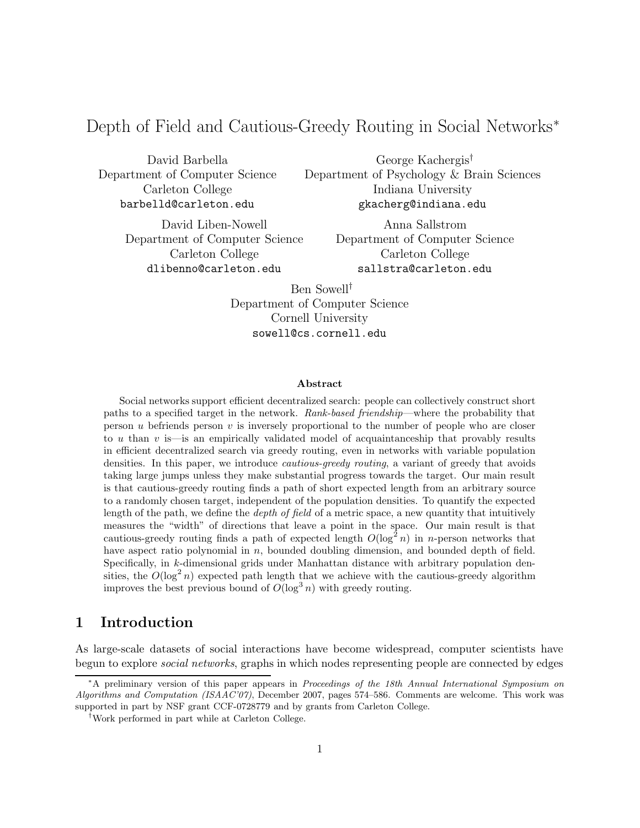# Depth of Field and Cautious-Greedy Routing in Social Networks<sup>∗</sup>

David Barbella Department of Computer Science Carleton College barbelld@carleton.edu

George Kachergis† Department of Psychology & Brain Sciences Indiana University gkacherg@indiana.edu

David Liben-Nowell Department of Computer Science Carleton College dlibenno@carleton.edu

Anna Sallstrom Department of Computer Science Carleton College sallstra@carleton.edu

Ben Sowell† Department of Computer Science Cornell University sowell@cs.cornell.edu

#### Abstract

Social networks support efficient decentralized search: people can collectively construct short paths to a specified target in the network. Rank-based friendship—where the probability that person  $u$  befriends person  $v$  is inversely proportional to the number of people who are closer to u than v is—is an empirically validated model of acquaintanceship that provably results in efficient decentralized search via greedy routing, even in networks with variable population densities. In this paper, we introduce *cautious-greedy routing*, a variant of greedy that avoids taking large jumps unless they make substantial progress towards the target. Our main result is that cautious-greedy routing finds a path of short expected length from an arbitrary source to a randomly chosen target, independent of the population densities. To quantify the expected length of the path, we define the depth of field of a metric space, a new quantity that intuitively measures the "width" of directions that leave a point in the space. Our main result is that cautious-greedy routing finds a path of expected length  $O(\log^2 n)$  in *n*-person networks that have aspect ratio polynomial in n, bounded doubling dimension, and bounded depth of field. Specifically, in k-dimensional grids under Manhattan distance with arbitrary population densities, the  $O(\log^2 n)$  expected path length that we achieve with the cautious-greedy algorithm improves the best previous bound of  $O(\log^3 n)$  with greedy routing.

# 1 Introduction

As large-scale datasets of social interactions have become widespread, computer scientists have begun to explore social networks, graphs in which nodes representing people are connected by edges

<sup>∗</sup>A preliminary version of this paper appears in Proceedings of the 18th Annual International Symposium on Algorithms and Computation (ISAAC'07), December 2007, pages 574–586. Comments are welcome. This work was supported in part by NSF grant CCF-0728779 and by grants from Carleton College.

<sup>†</sup>Work performed in part while at Carleton College.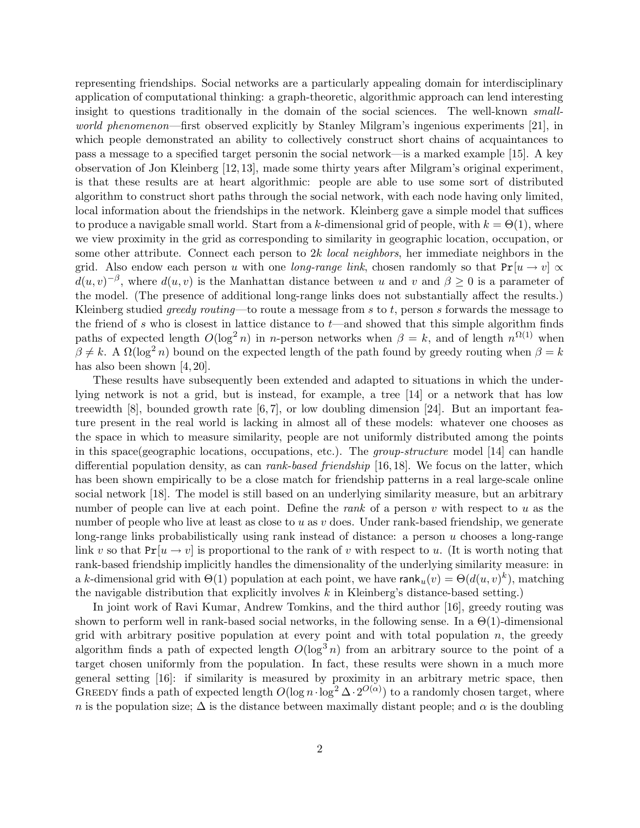representing friendships. Social networks are a particularly appealing domain for interdisciplinary application of computational thinking: a graph-theoretic, algorithmic approach can lend interesting insight to questions traditionally in the domain of the social sciences. The well-known smallworld phenomenon—first observed explicitly by Stanley Milgram's ingenious experiments [21], in which people demonstrated an ability to collectively construct short chains of acquaintances to pass a message to a specified target personin the social network—is a marked example [15]. A key observation of Jon Kleinberg [12, 13], made some thirty years after Milgram's original experiment, is that these results are at heart algorithmic: people are able to use some sort of distributed algorithm to construct short paths through the social network, with each node having only limited, local information about the friendships in the network. Kleinberg gave a simple model that suffices to produce a navigable small world. Start from a k-dimensional grid of people, with  $k = \Theta(1)$ , where we view proximity in the grid as corresponding to similarity in geographic location, occupation, or some other attribute. Connect each person to 2k *local neighbors*, her immediate neighbors in the grid. Also endow each person u with one *long-range link*, chosen randomly so that  $Pr[u \rightarrow v]$   $\propto$  $d(u, v)^{-\beta}$ , where  $d(u, v)$  is the Manhattan distance between u and v and  $\beta \geq 0$  is a parameter of the model. (The presence of additional long-range links does not substantially affect the results.) Kleinberg studied *greedy routing*—to route a message from  $s$  to  $t$ , person  $s$  forwards the message to the friend of s who is closest in lattice distance to  $t$ —and showed that this simple algorithm finds paths of expected length  $O(\log^2 n)$  in n-person networks when  $\beta = k$ , and of length  $n^{\Omega(1)}$  when  $\beta \neq k$ . A  $\Omega(\log^2 n)$  bound on the expected length of the path found by greedy routing when  $\beta = k$ has also been shown [4, 20].

These results have subsequently been extended and adapted to situations in which the underlying network is not a grid, but is instead, for example, a tree [14] or a network that has low treewidth  $[8]$ , bounded growth rate  $[6, 7]$ , or low doubling dimension  $[24]$ . But an important feature present in the real world is lacking in almost all of these models: whatever one chooses as the space in which to measure similarity, people are not uniformly distributed among the points in this space(geographic locations, occupations, etc.). The group-structure model [14] can handle differential population density, as can *rank-based friendship* [16, 18]. We focus on the latter, which has been shown empirically to be a close match for friendship patterns in a real large-scale online social network [18]. The model is still based on an underlying similarity measure, but an arbitrary number of people can live at each point. Define the *rank* of a person  $v$  with respect to  $u$  as the number of people who live at least as close to  $u$  as  $v$  does. Under rank-based friendship, we generate long-range links probabilistically using rank instead of distance: a person u chooses a long-range link v so that  $Pr[u \rightarrow v]$  is proportional to the rank of v with respect to u. (It is worth noting that rank-based friendship implicitly handles the dimensionality of the underlying similarity measure: in a k-dimensional grid with  $\Theta(1)$  population at each point, we have  $\textsf{rank}_u(v) = \Theta(d(u, v)^k)$ , matching the navigable distribution that explicitly involves  $k$  in Kleinberg's distance-based setting.)

In joint work of Ravi Kumar, Andrew Tomkins, and the third author [16], greedy routing was shown to perform well in rank-based social networks, in the following sense. In a  $\Theta(1)$ -dimensional grid with arbitrary positive population at every point and with total population  $n$ , the greedy algorithm finds a path of expected length  $O(\log^3 n)$  from an arbitrary source to the point of a target chosen uniformly from the population. In fact, these results were shown in a much more general setting [16]: if similarity is measured by proximity in an arbitrary metric space, then GREEDY finds a path of expected length  $O(\log n \cdot \log^2 \Delta \cdot 2^{O(\alpha)})$  to a randomly chosen target, where n is the population size;  $\Delta$  is the distance between maximally distant people; and  $\alpha$  is the doubling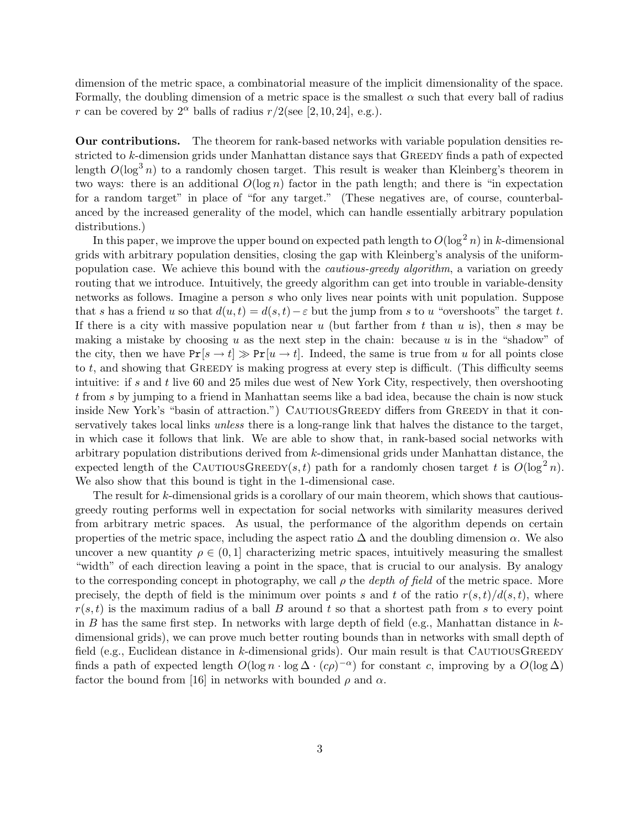dimension of the metric space, a combinatorial measure of the implicit dimensionality of the space. Formally, the doubling dimension of a metric space is the smallest  $\alpha$  such that every ball of radius r can be covered by  $2^{\alpha}$  balls of radius  $r/2$ (see [2, 10, 24], e.g.).

Our contributions. The theorem for rank-based networks with variable population densities restricted to k-dimension grids under Manhattan distance says that GREEDY finds a path of expected length  $O(\log^3 n)$  to a randomly chosen target. This result is weaker than Kleinberg's theorem in two ways: there is an additional  $O(\log n)$  factor in the path length; and there is "in expectation for a random target" in place of "for any target." (These negatives are, of course, counterbalanced by the increased generality of the model, which can handle essentially arbitrary population distributions.)

In this paper, we improve the upper bound on expected path length to  $O(\log^2 n)$  in k-dimensional grids with arbitrary population densities, closing the gap with Kleinberg's analysis of the uniformpopulation case. We achieve this bound with the *cautious-greedy algorithm*, a variation on greedy routing that we introduce. Intuitively, the greedy algorithm can get into trouble in variable-density networks as follows. Imagine a person s who only lives near points with unit population. Suppose that s has a friend u so that  $d(u,t) = d(s,t) - \varepsilon$  but the jump from s to u "overshoots" the target t. If there is a city with massive population near  $u$  (but farther from  $t$  than  $u$  is), then  $s$  may be making a mistake by choosing u as the next step in the chain: because u is in the "shadow" of the city, then we have  $Pr[s \to t] \gg Pr[u \to t]$ . Indeed, the same is true from u for all points close to t, and showing that Greedy is making progress at every step is difficult. (This difficulty seems intuitive: if s and t live 60 and 25 miles due west of New York City, respectively, then overshooting t from s by jumping to a friend in Manhattan seems like a bad idea, because the chain is now stuck inside New York's "basin of attraction.") CAUTIOUSGREEDY differs from GREEDY in that it conservatively takes local links unless there is a long-range link that halves the distance to the target, in which case it follows that link. We are able to show that, in rank-based social networks with arbitrary population distributions derived from k-dimensional grids under Manhattan distance, the expected length of the CAUTIOUSGREEDY(s, t) path for a randomly chosen target t is  $O(\log^2 n)$ . We also show that this bound is tight in the 1-dimensional case.

The result for k-dimensional grids is a corollary of our main theorem, which shows that cautiousgreedy routing performs well in expectation for social networks with similarity measures derived from arbitrary metric spaces. As usual, the performance of the algorithm depends on certain properties of the metric space, including the aspect ratio  $\Delta$  and the doubling dimension  $\alpha$ . We also uncover a new quantity  $\rho \in (0, 1]$  characterizing metric spaces, intuitively measuring the smallest "width" of each direction leaving a point in the space, that is crucial to our analysis. By analogy to the corresponding concept in photography, we call  $\rho$  the *depth of field* of the metric space. More precisely, the depth of field is the minimum over points s and t of the ratio  $r(s,t)/d(s,t)$ , where  $r(s,t)$  is the maximum radius of a ball B around t so that a shortest path from s to every point in B has the same first step. In networks with large depth of field (e.g., Manhattan distance in  $k$ dimensional grids), we can prove much better routing bounds than in networks with small depth of field (e.g., Euclidean distance in  $k$ -dimensional grids). Our main result is that CAUTIOUSGREEDY finds a path of expected length  $O(\log n \cdot \log \Delta \cdot (c\rho)^{-\alpha})$  for constant c, improving by a  $O(\log \Delta)$ factor the bound from [16] in networks with bounded  $\rho$  and  $\alpha$ .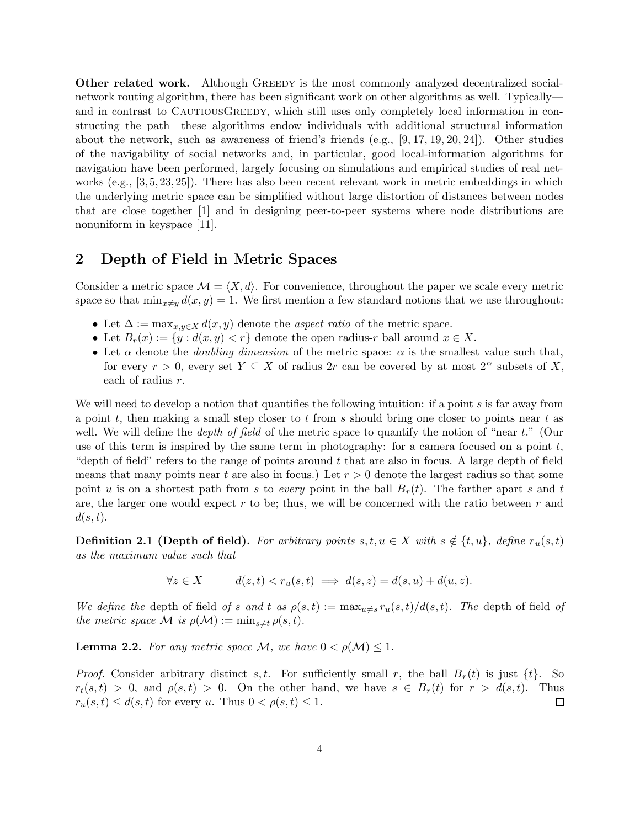**Other related work.** Although GREEDY is the most commonly analyzed decentralized socialnetwork routing algorithm, there has been significant work on other algorithms as well. Typically and in contrast to CAUTIOUSGREEDY, which still uses only completely local information in constructing the path—these algorithms endow individuals with additional structural information about the network, such as awareness of friend's friends (e.g.,  $[9, 17, 19, 20, 24]$ ). Other studies of the navigability of social networks and, in particular, good local-information algorithms for navigation have been performed, largely focusing on simulations and empirical studies of real networks (e.g., [3, 5, 23, 25]). There has also been recent relevant work in metric embeddings in which the underlying metric space can be simplified without large distortion of distances between nodes that are close together [1] and in designing peer-to-peer systems where node distributions are nonuniform in keyspace [11].

## 2 Depth of Field in Metric Spaces

Consider a metric space  $\mathcal{M} = \langle X, d \rangle$ . For convenience, throughout the paper we scale every metric space so that  $\min_{x\neq y} d(x, y) = 1$ . We first mention a few standard notions that we use throughout:

- Let  $\Delta := \max_{x,y \in X} d(x,y)$  denote the *aspect ratio* of the metric space.
- Let  $B_r(x) := \{y : d(x, y) < r\}$  denote the open radius-r ball around  $x \in X$ .
- Let  $\alpha$  denote the *doubling dimension* of the metric space:  $\alpha$  is the smallest value such that, for every  $r > 0$ , every set  $Y \subseteq X$  of radius  $2r$  can be covered by at most  $2^{\alpha}$  subsets of X, each of radius r.

We will need to develop a notion that quantifies the following intuition: if a point  $s$  is far away from a point t, then making a small step closer to t from s should bring one closer to points near t as well. We will define the *depth of field* of the metric space to quantify the notion of "near  $t$ ." (Our use of this term is inspired by the same term in photography: for a camera focused on a point  $t$ , "depth of field" refers to the range of points around  $t$  that are also in focus. A large depth of field means that many points near t are also in focus.) Let  $r > 0$  denote the largest radius so that some point u is on a shortest path from s to every point in the ball  $B_r(t)$ . The farther apart s and t are, the larger one would expect  $r$  to be; thus, we will be concerned with the ratio between  $r$  and  $d(s,t)$ .

**Definition 2.1 (Depth of field).** For arbitrary points  $s, t, u \in X$  with  $s \notin \{t, u\}$ , define  $r_u(s, t)$ as the maximum value such that

$$
\forall z \in X \qquad d(z, t) < r_u(s, t) \implies d(s, z) = d(s, u) + d(u, z).
$$

We define the depth of field of s and t as  $\rho(s,t) := \max_{u \neq s} r_u(s,t)/d(s,t)$ . The depth of field of the metric space M is  $\rho(\mathcal{M}) := \min_{s \neq t} \rho(s,t)$ .

**Lemma 2.2.** For any metric space M, we have  $0 < \rho(M) \leq 1$ .

*Proof.* Consider arbitrary distinct s,t. For sufficiently small r, the ball  $B_r(t)$  is just  $\{t\}$ . So  $r_t(s,t) > 0$ , and  $\rho(s,t) > 0$ . On the other hand, we have  $s \in B_r(t)$  for  $r > d(s,t)$ . Thus  $r_u(s,t) \leq d(s,t)$  for every u. Thus  $0 < \rho(s,t) \leq 1$ .  $\Box$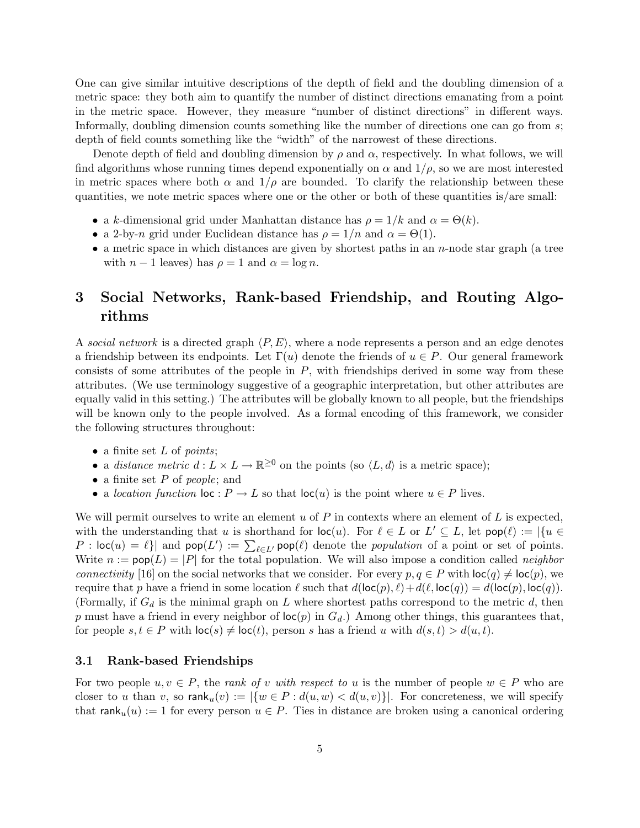One can give similar intuitive descriptions of the depth of field and the doubling dimension of a metric space: they both aim to quantify the number of distinct directions emanating from a point in the metric space. However, they measure "number of distinct directions" in different ways. Informally, doubling dimension counts something like the number of directions one can go from s; depth of field counts something like the "width" of the narrowest of these directions.

Denote depth of field and doubling dimension by  $\rho$  and  $\alpha$ , respectively. In what follows, we will find algorithms whose running times depend exponentially on  $\alpha$  and  $1/\rho$ , so we are most interested in metric spaces where both  $\alpha$  and  $1/\rho$  are bounded. To clarify the relationship between these quantities, we note metric spaces where one or the other or both of these quantities is/are small:

- a k-dimensional grid under Manhattan distance has  $\rho = 1/k$  and  $\alpha = \Theta(k)$ .
- a 2-by-n grid under Euclidean distance has  $\rho = 1/n$  and  $\alpha = \Theta(1)$ .
- a metric space in which distances are given by shortest paths in an  $n$ -node star graph (a tree with  $n-1$  leaves) has  $\rho = 1$  and  $\alpha = \log n$ .

# 3 Social Networks, Rank-based Friendship, and Routing Algorithms

A social network is a directed graph  $\langle P, E \rangle$ , where a node represents a person and an edge denotes a friendship between its endpoints. Let  $\Gamma(u)$  denote the friends of  $u \in P$ . Our general framework consists of some attributes of the people in  $P$ , with friendships derived in some way from these attributes. (We use terminology suggestive of a geographic interpretation, but other attributes are equally valid in this setting.) The attributes will be globally known to all people, but the friendships will be known only to the people involved. As a formal encoding of this framework, we consider the following structures throughout:

- a finite set  $L$  of *points*;
- a distance metric  $d: L \times L \to \mathbb{R}^{\geq 0}$  on the points (so  $\langle L, d \rangle$  is a metric space);
- a finite set  $P$  of people; and
- a location function  $\text{loc}: P \to L$  so that  $\text{loc}(u)$  is the point where  $u \in P$  lives.

We will permit ourselves to write an element u of  $P$  in contexts where an element of  $L$  is expected, with the understanding that u is shorthand for  $\text{loc}(u)$ . For  $\ell \in L$  or  $L' \subseteq L$ , let  $\text{pop}(\ell) := |\{u \in L\}|\}$  $P : \mathsf{loc}(u) = \ell$  and  $\mathsf{pop}(L') := \sum_{\ell \in L'} \mathsf{pop}(\ell)$  denote the *population* of a point or set of points. Write  $n := \text{pop}(L) = |P|$  for the total population. We will also impose a condition called *neighbor* connectivity [16] on the social networks that we consider. For every  $p, q \in P$  with  $\text{loc}(q) \neq \text{loc}(p)$ , we require that p have a friend in some location  $\ell$  such that  $d(\text{loc}(p), \ell) + d(\ell, \text{loc}(q)) = d(\text{loc}(p), \text{loc}(q)).$ (Formally, if  $G_d$  is the minimal graph on L where shortest paths correspond to the metric d, then p must have a friend in every neighbor of  $\text{loc}(p)$  in  $G_d$ .) Among other things, this guarantees that, for people  $s, t \in P$  with  $\text{loc}(s) \neq \text{loc}(t)$ , person s has a friend u with  $d(s,t) > d(u,t)$ .

### 3.1 Rank-based Friendships

For two people  $u, v \in P$ , the *rank of v with respect to u* is the number of people  $w \in P$  who are closer to u than v, so  $\operatorname{rank}_u(v) := |\{w \in P : d(u, w) < d(u, v)\}|$ . For concreteness, we will specify that rank<sub>u</sub> $(u) := 1$  for every person  $u \in P$ . Ties in distance are broken using a canonical ordering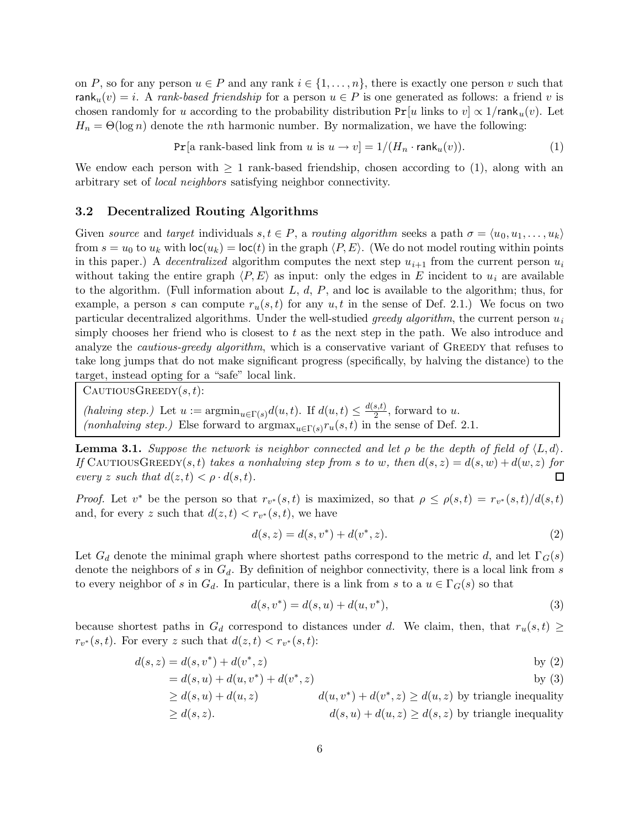on P, so for any person  $u \in P$  and any rank  $i \in \{1, \ldots, n\}$ , there is exactly one person v such that rank<sub>u</sub> $(v) = i$ . A rank-based friendship for a person  $u \in P$  is one generated as follows: a friend v is chosen randomly for u according to the probability distribution  $Pr[u]$  links to  $v \propto 1/\text{rank}_u(v)$ . Let  $H_n = \Theta(\log n)$  denote the *n*th harmonic number. By normalization, we have the following:

 $Pr[a \text{ rank-based link from } u \text{ is } u \to v] = 1/(H_n \cdot \text{rank}_u(v)).$  (1)

We endow each person with  $\geq 1$  rank-based friendship, chosen according to (1), along with an arbitrary set of local neighbors satisfying neighbor connectivity.

#### 3.2 Decentralized Routing Algorithms

Given source and target individuals  $s, t \in P$ , a routing algorithm seeks a path  $\sigma = \langle u_0, u_1, \ldots, u_k \rangle$ from  $s = u_0$  to  $u_k$  with  $\text{loc}(u_k) = \text{loc}(t)$  in the graph  $\langle P, E \rangle$ . (We do not model routing within points in this paper.) A decentralized algorithm computes the next step  $u_{i+1}$  from the current person  $u_i$ without taking the entire graph  $\langle P, E \rangle$  as input: only the edges in E incident to  $u_i$  are available to the algorithm. (Full information about  $L, d, P$ , and loc is available to the algorithm; thus, for example, a person s can compute  $r_u(s,t)$  for any  $u,t$  in the sense of Def. 2.1.) We focus on two particular decentralized algorithms. Under the well-studied greedy algorithm, the current person  $u_i$ simply chooses her friend who is closest to  $t$  as the next step in the path. We also introduce and analyze the *cautious-greedy algorithm*, which is a conservative variant of GREEDY that refuses to take long jumps that do not make significant progress (specifically, by halving the distance) to the target, instead opting for a "safe" local link.

 $C$ AUTIOUS $G$ REEDY $(s,t)$ :

(halving step.) Let  $u := \operatorname{argmin}_{u \in \Gamma(s)} d(u,t)$ . If  $d(u,t) \leq \frac{d(s,t)}{2}$  $\frac{s(t)}{2}$ , forward to u. (nonhalving step.) Else forward to  $\arg\max_{u \in \Gamma(s)} r_u(s,t)$  in the sense of Def. 2.1.

**Lemma 3.1.** Suppose the network is neighbor connected and let  $\rho$  be the depth of field of  $\langle L, d \rangle$ . If CAUTIOUSGREEDY(s,t) takes a nonhalving step from s to w, then  $d(s, z) = d(s, w) + d(w, z)$  for every z such that  $d(z,t) < \rho \cdot d(s,t)$ . П

*Proof.* Let  $v^*$  be the person so that  $r_{v^*}(s,t)$  is maximized, so that  $\rho \leq \rho(s,t) = r_{v^*}(s,t)/d(s,t)$ and, for every z such that  $d(z, t) < r_{v^*}(s, t)$ , we have

$$
d(s, z) = d(s, v^*) + d(v^*, z).
$$
\n(2)

Let  $G_d$  denote the minimal graph where shortest paths correspond to the metric d, and let  $\Gamma_G(s)$ denote the neighbors of s in  $G_d$ . By definition of neighbor connectivity, there is a local link from s to every neighbor of s in  $G_d$ . In particular, there is a link from s to a  $u \in \Gamma_G(s)$  so that

$$
d(s, v^*) = d(s, u) + d(u, v^*),
$$
\n(3)

because shortest paths in  $G_d$  correspond to distances under d. We claim, then, that  $r_u(s,t) \geq$  $r_{v^*}(s,t)$ . For every z such that  $d(z,t) < r_{v^*}(s,t)$ :

$$
d(s, z) = d(s, v^*) + d(v^*, z)
$$
 by (2)

$$
= d(s, u) + d(u, v^*) + d(v^*, z)
$$
 by (3)

$$
\geq d(s, u) + d(u, z)
$$
  
\n
$$
\geq d(s, u) + d(u, z)
$$
  
\n
$$
d(u, v^*) + d(v^*, z) \geq d(u, z)
$$
 by triangle inequality  
\n
$$
d(s, u) + d(u, z) \geq d(s, z)
$$
 by triangle inequality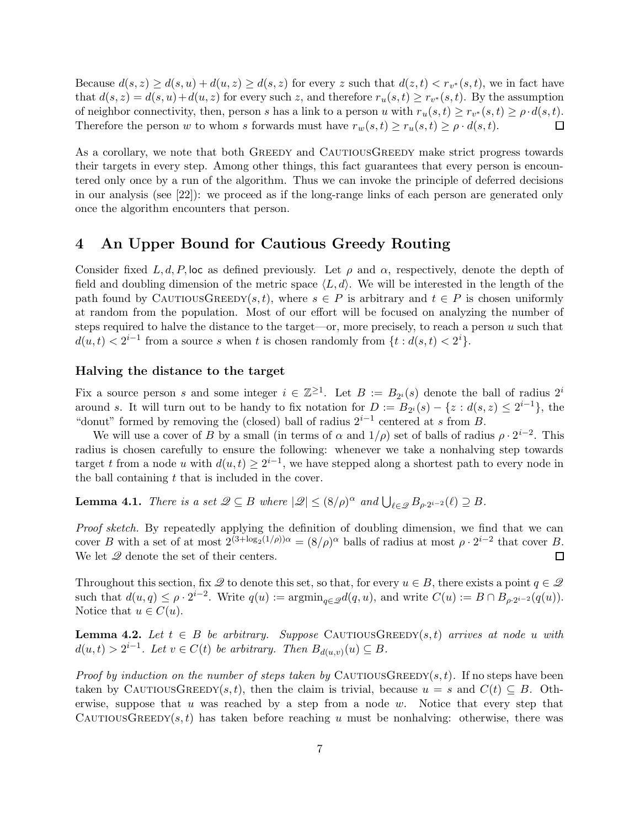Because  $d(s, z) \ge d(s, u) + d(u, z) \ge d(s, z)$  for every z such that  $d(z, t) < r_{v^*}(s, t)$ , we in fact have that  $d(s, z) = d(s, u) + d(u, z)$  for every such z, and therefore  $r_u(s, t) \ge r_{v^*}(s, t)$ . By the assumption of neighbor connectivity, then, person s has a link to a person u with  $r_u(s,t) \ge r_{v^*}(s,t) \ge \rho \cdot d(s,t)$ . Therefore the person w to whom s forwards must have  $r_w(s,t) \ge r_u(s,t) \ge \rho \cdot d(s,t)$ .  $\Box$ 

As a corollary, we note that both GREEDY and CAUTIOUSGREEDY make strict progress towards their targets in every step. Among other things, this fact guarantees that every person is encountered only once by a run of the algorithm. Thus we can invoke the principle of deferred decisions in our analysis (see [22]): we proceed as if the long-range links of each person are generated only once the algorithm encounters that person.

## 4 An Upper Bound for Cautious Greedy Routing

Consider fixed L, d, P, loc as defined previously. Let  $\rho$  and  $\alpha$ , respectively, denote the depth of field and doubling dimension of the metric space  $\langle L, d \rangle$ . We will be interested in the length of the path found by CAUTIOUSGREEDY(s, t), where  $s \in P$  is arbitrary and  $t \in P$  is chosen uniformly at random from the population. Most of our effort will be focused on analyzing the number of steps required to halve the distance to the target—or, more precisely, to reach a person  $u$  such that  $d(u,t) < 2^{i-1}$  from a source s when t is chosen randomly from  $\{t : d(s,t) < 2^i\}.$ 

### Halving the distance to the target

Fix a source person s and some integer  $i \in \mathbb{Z}^{\geq 1}$ . Let  $B := B_{2^i}(s)$  denote the ball of radius  $2^i$ around s. It will turn out to be handy to fix notation for  $D := B_{2^i}(s) - \{z : d(s, z) \leq 2^{i-1}\},\$ "donut" formed by removing the (closed) ball of radius  $2^{i-1}$  centered at s from B.

We will use a cover of B by a small (in terms of  $\alpha$  and  $1/\rho$ ) set of balls of radius  $\rho \cdot 2^{i-2}$ . This radius is chosen carefully to ensure the following: whenever we take a nonhalving step towards target t from a node u with  $d(u,t) \geq 2^{i-1}$ , we have stepped along a shortest path to every node in the ball containing  $t$  that is included in the cover.

**Lemma 4.1.** There is a set  $\mathscr{Q} \subseteq B$  where  $|\mathscr{Q}| \leq (8/\rho)^{\alpha}$  and  $\bigcup_{\ell \in \mathscr{Q}} B_{\rho \cdot 2^{i-2}}(\ell) \supseteq B$ .

Proof sketch. By repeatedly applying the definition of doubling dimension, we find that we can cover B with a set of at most  $2^{(3+\log_2(1/\rho))\alpha} = (8/\rho)^{\alpha}$  balls of radius at most  $\rho \cdot 2^{i-2}$  that cover B. We let  $\mathscr Q$  denote the set of their centers.  $\Box$ 

Throughout this section, fix  $\mathscr Q$  to denote this set, so that, for every  $u \in B$ , there exists a point  $q \in \mathscr Q$ such that  $d(u,q) \leq \rho \cdot 2^{i-2}$ . Write  $q(u) := \operatorname{argmin}_{q \in \mathcal{Q}} d(q,u)$ , and write  $C(u) := B \cap B_{\rho \cdot 2^{i-2}}(q(u))$ . Notice that  $u \in C(u)$ .

**Lemma 4.2.** Let  $t \in B$  be arbitrary. Suppose CAUTIOUSGREEDY(s,t) arrives at node u with  $d(u,t) > 2^{i-1}$ . Let  $v \in C(t)$  be arbitrary. Then  $B_{d(u,v)}(u) \subseteq B$ .

*Proof by induction on the number of steps taken by* CAUTIOUSGREEDY(s, t). If no steps have been taken by CAUTIOUSGREEDY(s, t), then the claim is trivial, because  $u = s$  and  $C(t) \subseteq B$ . Otherwise, suppose that u was reached by a step from a node  $w$ . Notice that every step that CAUTIOUSGREEDY(s,t) has taken before reaching u must be nonhalving: otherwise, there was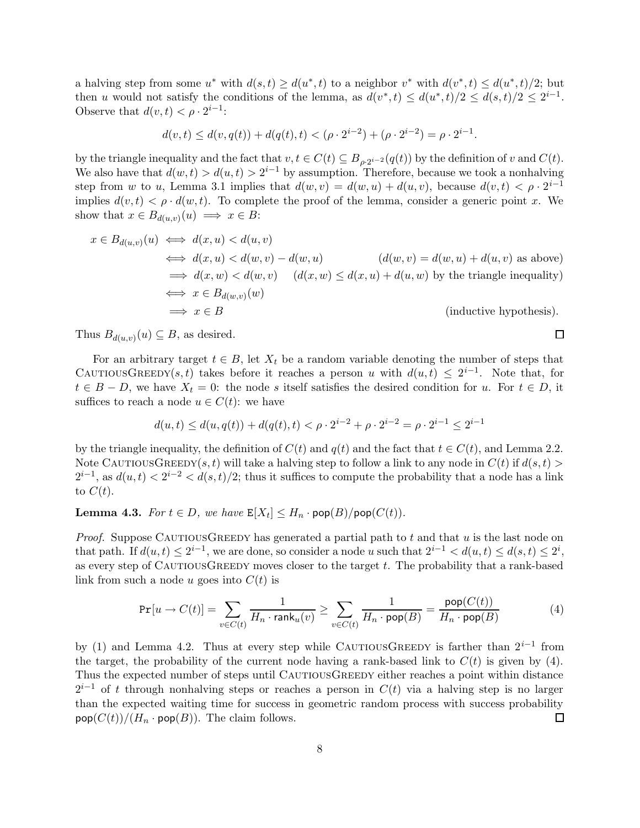a halving step from some  $u^*$  with  $d(s,t) \geq d(u^*,t)$  to a neighbor  $v^*$  with  $d(v^*,t) \leq d(u^*,t)/2$ ; but then u would not satisfy the conditions of the lemma, as  $d(v^*,t) \leq d(u^*,t)/2 \leq d(s,t)/2 \leq 2^{i-1}$ . Observe that  $d(v, t) < \rho \cdot 2^{i-1}$ :

$$
d(v,t) \le d(v,q(t)) + d(q(t),t) < (\rho \cdot 2^{i-2}) + (\rho \cdot 2^{i-2}) = \rho \cdot 2^{i-1}.
$$

by the triangle inequality and the fact that  $v, t \in C(t) \subseteq B_{\rho \cdot 2^{i-2}}(q(t))$  by the definition of v and  $C(t)$ . We also have that  $d(w, t) > d(u, t) > 2^{i-1}$  by assumption. Therefore, because we took a nonhalving step from w to u, Lemma 3.1 implies that  $d(w, v) = d(w, u) + d(u, v)$ , because  $d(v, t) < \rho \cdot 2^{i-1}$ implies  $d(v, t) < \rho \cdot d(w, t)$ . To complete the proof of the lemma, consider a generic point x. We show that  $x \in B_{d(u,v)}(u) \implies x \in B$ :

$$
x \in B_{d(u,v)}(u) \iff d(x, u) < d(u, v)
$$
\n
$$
\iff d(x, u) < d(w, v) - d(w, u) \quad (d(w, v) = d(w, u) + d(u, v) \text{ as above})
$$
\n
$$
\implies d(x, w) < d(w, v) \quad (d(x, w) \le d(x, u) + d(u, w) \text{ by the triangle inequality})
$$
\n
$$
\iff x \in B_{d(w,v)}(w)
$$
\n
$$
\implies x \in B \quad (\text{inductive hypothesis}).
$$

Thus  $B_{d(u,v)}(u) \subseteq B$ , as desired.

For an arbitrary target  $t \in B$ , let  $X_t$  be a random variable denoting the number of steps that CAUTIOUSGREEDY(s,t) takes before it reaches a person u with  $d(u,t) \leq 2^{i-1}$ . Note that, for  $t \in B - D$ , we have  $X_t = 0$ : the node s itself satisfies the desired condition for u. For  $t \in D$ , it suffices to reach a node  $u \in C(t)$ : we have

$$
d(u,t) \le d(u,q(t)) + d(q(t),t) < \rho \cdot 2^{i-2} + \rho \cdot 2^{i-2} = \rho \cdot 2^{i-1} \le 2^{i-1}
$$

by the triangle inequality, the definition of  $C(t)$  and  $q(t)$  and the fact that  $t \in C(t)$ , and Lemma 2.2. Note CAUTIOUSGREEDY(s, t) will take a halving step to follow a link to any node in  $C(t)$  if  $d(s,t)$  $2^{i-1}$ , as  $d(u,t) < 2^{i-2} < d(s,t)/2$ ; thus it suffices to compute the probability that a node has a link to  $C(t)$ .

**Lemma 4.3.** For  $t \in D$ , we have  $\mathbb{E}[X_t] \leq H_n \cdot \text{pop}(B) / \text{pop}(C(t)).$ 

*Proof.* Suppose CAUTIOUSGREEDY has generated a partial path to t and that u is the last node on that path. If  $d(u,t) \leq 2^{i-1}$ , we are done, so consider a node u such that  $2^{i-1} < d(u,t) \leq d(s,t) \leq 2^i$ , as every step of CAUTIOUSGREEDY moves closer to the target  $t$ . The probability that a rank-based link from such a node u goes into  $C(t)$  is

$$
\Pr[u \to C(t)] = \sum_{v \in C(t)} \frac{1}{H_n \cdot \text{rank}_u(v)} \ge \sum_{v \in C(t)} \frac{1}{H_n \cdot \text{pop}(B)} = \frac{\text{pop}(C(t))}{H_n \cdot \text{pop}(B)} \tag{4}
$$

by (1) and Lemma 4.2. Thus at every step while CAUTIOUSGREEDY is farther than  $2^{i-1}$  from the target, the probability of the current node having a rank-based link to  $C(t)$  is given by (4). Thus the expected number of steps until CAUTIOUSGREEDY either reaches a point within distance  $2^{i-1}$  of t through nonhalving steps or reaches a person in  $C(t)$  via a halving step is no larger than the expected waiting time for success in geometric random process with success probability  $\mathsf{pop}(C(t))/(H_n \cdot \mathsf{pop}(B)).$  The claim follows.  $\Box$ 

$$
\Box
$$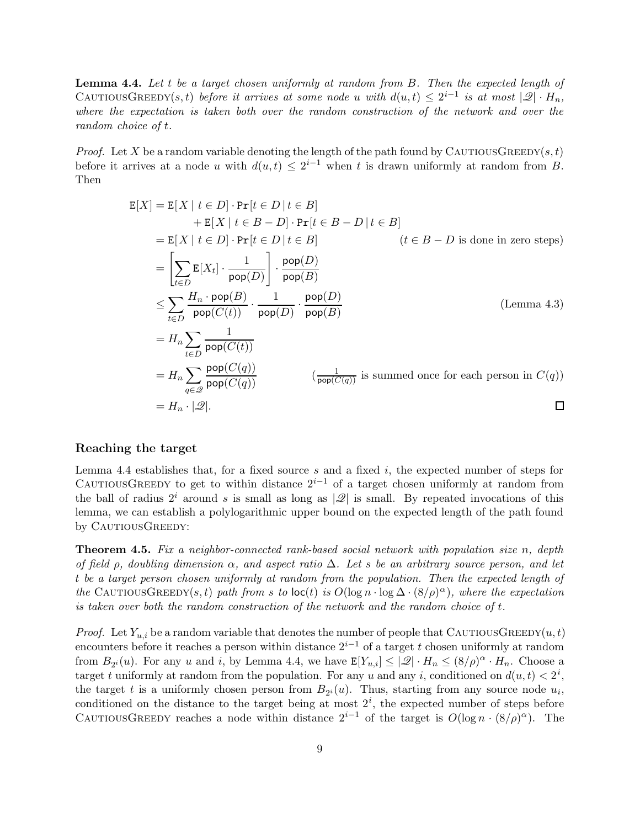Lemma 4.4. Let t be a target chosen uniformly at random from B. Then the expected length of CAUTIOUSGREEDY(s,t) before it arrives at some node u with  $d(u,t) \leq 2^{i-1}$  is at most  $|\mathscr{Q}| \cdot H_n$ , where the expectation is taken both over the random construction of the network and over the random choice of t.

*Proof.* Let X be a random variable denoting the length of the path found by CAUTIOUSGREEDY(s,t) before it arrives at a node u with  $d(u,t) \leq 2^{i-1}$  when t is drawn uniformly at random from B. Then

$$
E[X] = E[X | t \in D] \cdot Pr[t \in D | t \in B]
$$
  
\n
$$
+ E[X | t \in B - D] \cdot Pr[t \in B - D | t \in B]
$$
  
\n
$$
= E[X | t \in D] \cdot Pr[t \in D | t \in B]
$$
  
\n
$$
= \left[ \sum_{t \in D} E[X_t] \cdot \frac{1}{\text{pop}(D)} \right] \cdot \frac{\text{pop}(D)}{\text{pop}(B)}
$$
  
\n
$$
\leq \sum_{t \in D} \frac{H_n \cdot \text{pop}(B)}{\text{pop}(C(t))} \cdot \frac{1}{\text{pop}(D)} \cdot \frac{\text{pop}(D)}{\text{pop}(B)}
$$
  
\n
$$
= H_n \sum_{t \in D} \frac{1}{\text{pop}(C(t))}
$$
  
\n
$$
= H_n \sum_{q \in \mathcal{Q}} \frac{\text{pop}(C(q))}{\text{pop}(C(q))}
$$
  
\n
$$
= H_n \cdot |\mathcal{Q}|.
$$

#### Reaching the target

Lemma 4.4 establishes that, for a fixed source  $s$  and a fixed  $i$ , the expected number of steps for CAUTIOUSGREEDY to get to within distance  $2^{i-1}$  of a target chosen uniformly at random from the ball of radius  $2^i$  around s is small as long as  $|\mathscr{Q}|$  is small. By repeated invocations of this lemma, we can establish a polylogarithmic upper bound on the expected length of the path found by CAUTIOUSGREEDY:

**Theorem 4.5.** Fix a neighbor-connected rank-based social network with population size n, depth of field  $\rho$ , doubling dimension  $\alpha$ , and aspect ratio  $\Delta$ . Let s be an arbitrary source person, and let t be a target person chosen uniformly at random from the population. Then the expected length of the CAUTIOUSGREEDY(s, t) path from s to  $\text{loc}(t)$  is  $O(\log n \cdot \log \Delta \cdot (8/\rho)^{\alpha})$ , where the expectation is taken over both the random construction of the network and the random choice of  $t$ .

*Proof.* Let  $Y_{u,i}$  be a random variable that denotes the number of people that CAUTIOUSGREEDY $(u,t)$ encounters before it reaches a person within distance  $2^{i-1}$  of a target t chosen uniformly at random from  $B_{2^i}(u)$ . For any u and i, by Lemma 4.4, we have  $\mathbb{E}[Y_{u,i}] \leq |\mathcal{Q}| \cdot H_n \leq (8/\rho)^{\alpha} \cdot H_n$ . Choose a target t uniformly at random from the population. For any u and any i, conditioned on  $d(u, t) < 2^i$ , the target t is a uniformly chosen person from  $B_{2^i}(u)$ . Thus, starting from any source node  $u_i$ , conditioned on the distance to the target being at most  $2^i$ , the expected number of steps before CAUTIOUSGREEDY reaches a node within distance  $2^{i-1}$  of the target is  $O(\log n \cdot (8/\rho)^{\alpha})$ . The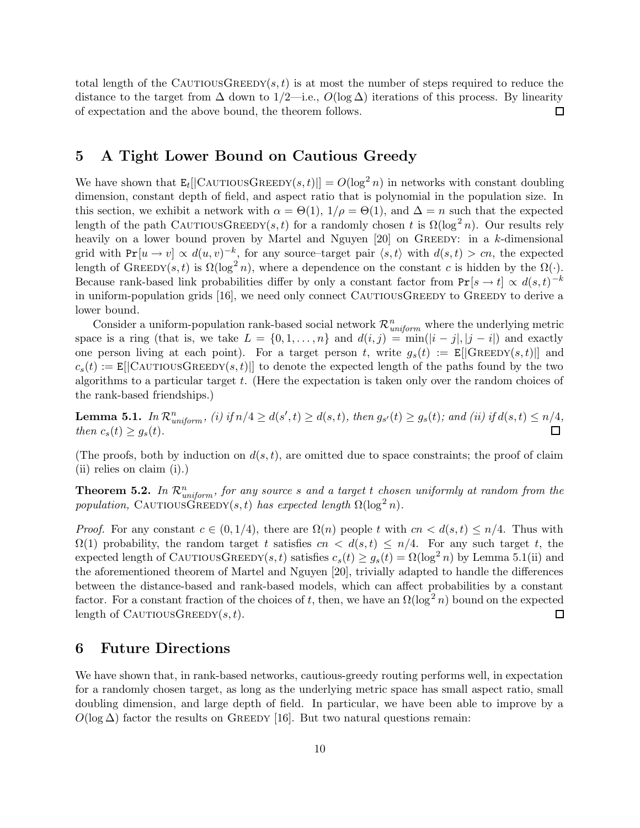total length of the CAUTIOUSGREEDY(s, t) is at most the number of steps required to reduce the distance to the target from  $\Delta$  down to  $1/2$ —i.e.,  $O(\log \Delta)$  iterations of this process. By linearity  $\Box$ of expectation and the above bound, the theorem follows.

## 5 A Tight Lower Bound on Cautious Greedy

We have shown that  $\mathbf{E}_{t}[[\text{CAUTIONGREEDY}(s,t)]] = O(\log^{2} n)$  in networks with constant doubling dimension, constant depth of field, and aspect ratio that is polynomial in the population size. In this section, we exhibit a network with  $\alpha = \Theta(1)$ ,  $1/\rho = \Theta(1)$ , and  $\Delta = n$  such that the expected length of the path CAUTIOUSGREEDY(s,t) for a randomly chosen t is  $\Omega(\log^2 n)$ . Our results rely heavily on a lower bound proven by Martel and Nguyen  $[20]$  on GREEDY: in a k-dimensional grid with  $Pr[u \to v] \propto d(u, v)^{-k}$ , for any source-target pair  $\langle s, t \rangle$  with  $d(s, t) > cn$ , the expected length of GREEDY(s, t) is  $\Omega(\log^2 n)$ , where a dependence on the constant c is hidden by the  $\Omega(\cdot)$ . Because rank-based link probabilities differ by only a constant factor from  $Pr[s \to t] \propto d(s,t)^{-k}$ in uniform-population grids [16], we need only connect CAUTIOUSGREEDY to GREEDY to derive a lower bound.

Consider a uniform-population rank-based social network  $\mathcal{R}^n_{uniform}$  where the underlying metric space is a ring (that is, we take  $L = \{0, 1, \ldots, n\}$  and  $d(i, j) = \min(|i - j|, |j - i|)$  and exactly one person living at each point). For a target person t, write  $g_s(t) := E[|G_{REEDY}(s,t)|]$  and  $c_s(t) := E[|C_A \text{UTIOUSGREEDY}(s,t)||]$  to denote the expected length of the paths found by the two algorithms to a particular target  $t$ . (Here the expectation is taken only over the random choices of the rank-based friendships.)

**Lemma 5.1.** In  $\mathcal{R}^n_{uniform}$ , (i) if  $n/4 \geq d(s',t) \geq d(s,t)$ , then  $g_{s'}(t) \geq g_s(t)$ ; and (ii) if  $d(s,t) \leq n/4$ , then  $c_s(t) \geq g_s(t)$ . 口

(The proofs, both by induction on  $d(s,t)$ , are omitted due to space constraints; the proof of claim (ii) relies on claim (i).)

**Theorem 5.2.** In  $\mathcal{R}_{uniform}^n$ , for any source s and a target t chosen uniformly at random from the population, CAUTIOUSGREEDY(s,t) has expected length  $\Omega(\log^2 n)$ .

*Proof.* For any constant  $c \in (0, 1/4)$ , there are  $\Omega(n)$  people t with  $cn < d(s,t) \leq n/4$ . Thus with  $\Omega(1)$  probability, the random target t satisfies  $cn < d(s,t) \leq n/4$ . For any such target t, the expected length of CAUTIOUSGREEDY(s, t) satisfies  $c_s(t) \geq g_s(t) = \Omega(\log^2 n)$  by Lemma 5.1(ii) and the aforementioned theorem of Martel and Nguyen [20], trivially adapted to handle the differences between the distance-based and rank-based models, which can affect probabilities by a constant factor. For a constant fraction of the choices of t, then, we have an  $\Omega(\log^2 n)$  bound on the expected length of CAUTIOUSGREEDY $(s,t)$ .  $\Box$ 

# 6 Future Directions

We have shown that, in rank-based networks, cautious-greedy routing performs well, in expectation for a randomly chosen target, as long as the underlying metric space has small aspect ratio, small doubling dimension, and large depth of field. In particular, we have been able to improve by a  $O(\log \Delta)$  factor the results on GREEDY [16]. But two natural questions remain: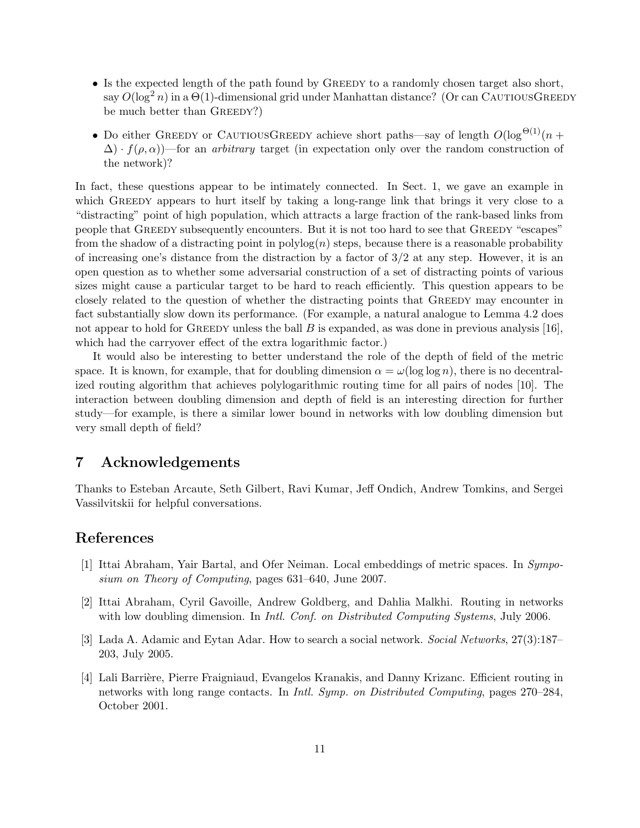- Is the expected length of the path found by GREEDY to a randomly chosen target also short, say  $O(\log^2 n)$  in a  $\Theta(1)$ -dimensional grid under Manhattan distance? (Or can CAUTIOUSGREEDY be much better than GREEDY?)
- Do either GREEDY or CAUTIOUSGREEDY achieve short paths—say of length  $O(\log^{\Theta(1)}(n +$  $\Delta$ ) ·  $f(\rho,\alpha)$ —for an *arbitrary* target (in expectation only over the random construction of the network)?

In fact, these questions appear to be intimately connected. In Sect. 1, we gave an example in which GREEDY appears to hurt itself by taking a long-range link that brings it very close to a "distracting" point of high population, which attracts a large fraction of the rank-based links from people that GREEDY subsequently encounters. But it is not too hard to see that GREEDY "escapes" from the shadow of a distracting point in  $polylog(n)$  steps, because there is a reasonable probability of increasing one's distance from the distraction by a factor of  $3/2$  at any step. However, it is an open question as to whether some adversarial construction of a set of distracting points of various sizes might cause a particular target to be hard to reach efficiently. This question appears to be closely related to the question of whether the distracting points that GREEDY may encounter in fact substantially slow down its performance. (For example, a natural analogue to Lemma 4.2 does not appear to hold for GREEDY unless the ball  $B$  is expanded, as was done in previous analysis [16], which had the carryover effect of the extra logarithmic factor.)

It would also be interesting to better understand the role of the depth of field of the metric space. It is known, for example, that for doubling dimension  $\alpha = \omega(\log \log n)$ , there is no decentralized routing algorithm that achieves polylogarithmic routing time for all pairs of nodes [10]. The interaction between doubling dimension and depth of field is an interesting direction for further study—for example, is there a similar lower bound in networks with low doubling dimension but very small depth of field?

# 7 Acknowledgements

Thanks to Esteban Arcaute, Seth Gilbert, Ravi Kumar, Jeff Ondich, Andrew Tomkins, and Sergei Vassilvitskii for helpful conversations.

# References

- [1] Ittai Abraham, Yair Bartal, and Ofer Neiman. Local embeddings of metric spaces. In Symposium on Theory of Computing, pages 631–640, June 2007.
- [2] Ittai Abraham, Cyril Gavoille, Andrew Goldberg, and Dahlia Malkhi. Routing in networks with low doubling dimension. In *Intl. Conf. on Distributed Computing Systems*, July 2006.
- [3] Lada A. Adamic and Eytan Adar. How to search a social network. Social Networks, 27(3):187– 203, July 2005.
- [4] Lali Barrière, Pierre Fraigniaud, Evangelos Kranakis, and Danny Krizanc. Efficient routing in networks with long range contacts. In Intl. Symp. on Distributed Computing, pages 270–284, October 2001.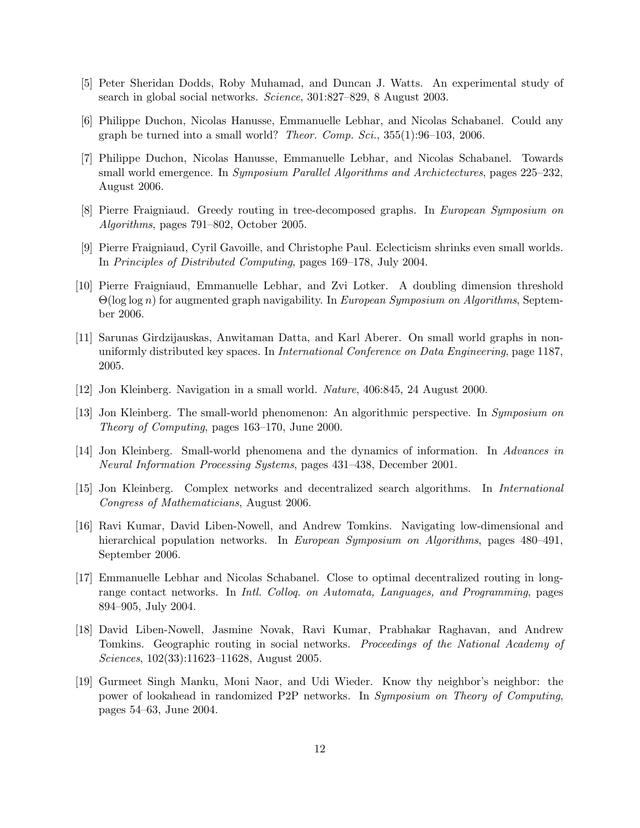- [5] Peter Sheridan Dodds, Roby Muhamad, and Duncan J. Watts. An experimental study of search in global social networks. Science, 301:827–829, 8 August 2003.
- [6] Philippe Duchon, Nicolas Hanusse, Emmanuelle Lebhar, and Nicolas Schabanel. Could any graph be turned into a small world? *Theor. Comp. Sci.*,  $355(1):96-103$ ,  $2006$ .
- [7] Philippe Duchon, Nicolas Hanusse, Emmanuelle Lebhar, and Nicolas Schabanel. Towards small world emergence. In *Symposium Parallel Algorithms and Archictectures*, pages 225–232, August 2006.
- [8] Pierre Fraigniaud. Greedy routing in tree-decomposed graphs. In European Symposium on Algorithms, pages 791–802, October 2005.
- [9] Pierre Fraigniaud, Cyril Gavoille, and Christophe Paul. Eclecticism shrinks even small worlds. In Principles of Distributed Computing, pages 169–178, July 2004.
- [10] Pierre Fraigniaud, Emmanuelle Lebhar, and Zvi Lotker. A doubling dimension threshold  $\Theta(\log \log n)$  for augmented graph navigability. In *European Symposium on Algorithms*, September 2006.
- [11] Sarunas Girdzijauskas, Anwitaman Datta, and Karl Aberer. On small world graphs in nonuniformly distributed key spaces. In International Conference on Data Engineering, page 1187, 2005.
- [12] Jon Kleinberg. Navigation in a small world. Nature, 406:845, 24 August 2000.
- [13] Jon Kleinberg. The small-world phenomenon: An algorithmic perspective. In Symposium on Theory of Computing, pages 163–170, June 2000.
- [14] Jon Kleinberg. Small-world phenomena and the dynamics of information. In Advances in Neural Information Processing Systems, pages 431–438, December 2001.
- [15] Jon Kleinberg. Complex networks and decentralized search algorithms. In International Congress of Mathematicians, August 2006.
- [16] Ravi Kumar, David Liben-Nowell, and Andrew Tomkins. Navigating low-dimensional and hierarchical population networks. In European Symposium on Algorithms, pages 480–491, September 2006.
- [17] Emmanuelle Lebhar and Nicolas Schabanel. Close to optimal decentralized routing in longrange contact networks. In *Intl. Collog. on Automata, Languages, and Programming*, pages 894–905, July 2004.
- [18] David Liben-Nowell, Jasmine Novak, Ravi Kumar, Prabhakar Raghavan, and Andrew Tomkins. Geographic routing in social networks. Proceedings of the National Academy of Sciences, 102(33):11623–11628, August 2005.
- [19] Gurmeet Singh Manku, Moni Naor, and Udi Wieder. Know thy neighbor's neighbor: the power of lookahead in randomized P2P networks. In Symposium on Theory of Computing, pages 54–63, June 2004.